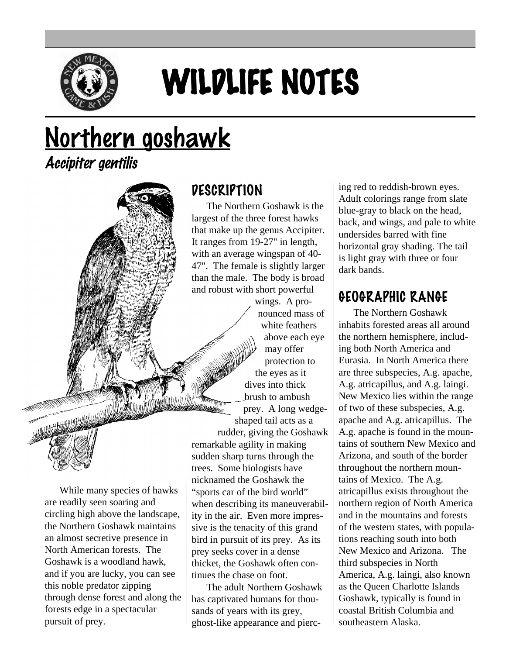

# WILDLIFE NOTES

# Northern goshawk

Accipiter gentilis

#### **DESCRIPTION**

The Northern Goshawk is the largest of the three forest hawks that make up the genus Accipiter. It ranges from 19-27" in length, with an average wingspan of 40- 47". The female is slightly larger than the male. The body is broad and robust with short powerful

> wings. A pronounced mass of white feathers above each eye may offer protection to the eyes as it dives into thick brush to ambush prey. A long wedgeshaped tail acts as a

rudder, giving the Goshawk remarkable agility in making sudden sharp turns through the trees. Some biologists have nicknamed the Goshawk the "sports car of the bird world" when describing its maneuverability in the air. Even more impressive is the tenacity of this grand bird in pursuit of its prey. As its prey seeks cover in a dense thicket, the Goshawk often continues the chase on foot.

The adult Northern Goshawk has captivated humans for thousands of years with its grey, ghost-like appearance and piercing red to reddish-brown eyes. Adult colorings range from slate blue-gray to black on the head, back, and wings, and pale to white undersides barred with fine horizontal gray shading. The tail is light gray with three or four dark bands.

#### GEOGRAPHIC RANGE

The Northern Goshawk inhabits forested areas all around the northern hemisphere, including both North America and Eurasia. In North America there are three subspecies, A.g. apache, A.g. atricapillus, and A.g. laingi. New Mexico lies within the range of two of these subspecies, A.g. apache and A.g. atricapillus. The A.g. apache is found in the mountains of southern New Mexico and Arizona, and south of the border throughout the northern mountains of Mexico. The A.g. atricapillus exists throughout the northern region of North America and in the mountains and forests of the western states, with populations reaching south into both New Mexico and Arizona. The third subspecies in North America, A.g. laingi, also known as the Queen Charlotte Islands Goshawk, typically is found in coastal British Columbia and southeastern Alaska.

While many species of hawks are readily seen soaring and circling high above the landscape, the Northern Goshawk maintains an almost secretive presence in North American forests. The Goshawk is a woodland hawk, and if you are lucky, you can see this noble predator zipping through dense forest and along the forests edge in a spectacular pursuit of prey.